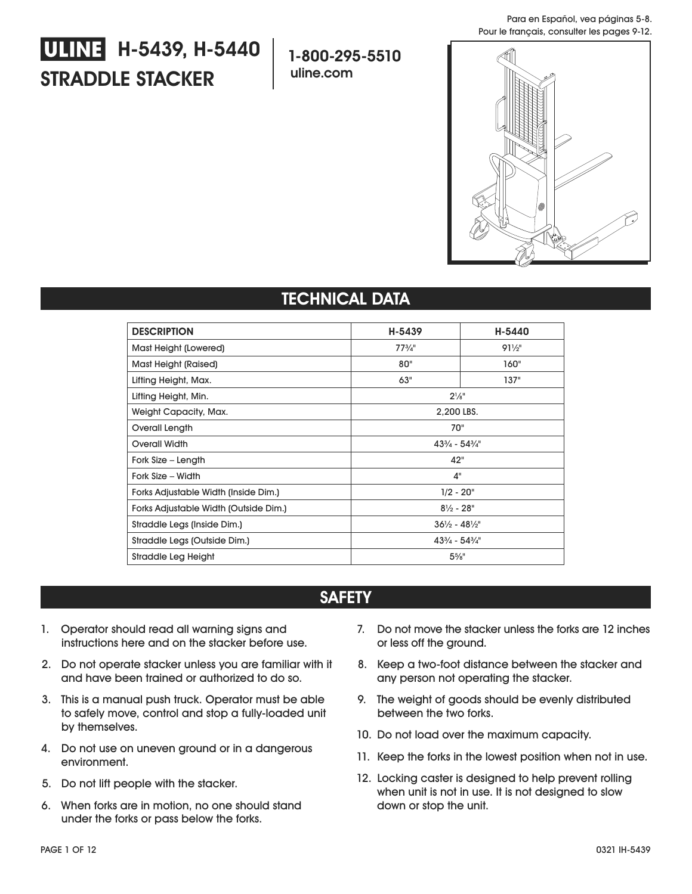# **STRADDLE STACKER ULINE H-5439, H-5440**

**1-800-295-5510 uline.com**



## **TECHNICAL DATA**

| <b>DESCRIPTION</b>                    | H-5439                            | H-5440          |
|---------------------------------------|-----------------------------------|-----------------|
| Mast Height (Lowered)                 | $77^{3}/4"$                       | $91\frac{1}{2}$ |
| Mast Height (Raised)                  | 80"                               | 160"            |
| Lifting Height, Max.                  | 63"                               | 137"            |
| Lifting Height, Min.                  | $2^{1}/8"$                        |                 |
| Weight Capacity, Max.                 | 2.200 LBS.                        |                 |
| Overall Length                        | 70"                               |                 |
| Overall Width                         | $43\frac{3}{4} - 54\frac{3}{4}$ " |                 |
| Fork Size – Length                    | 42"                               |                 |
| Fork Size - Width                     | 4"                                |                 |
| Forks Adjustable Width (Inside Dim.)  | $1/2 - 20$ "                      |                 |
| Forks Adjustable Width (Outside Dim.) | $8\frac{1}{2}$ - 28"              |                 |
| Straddle Legs (Inside Dim.)           | $36\frac{1}{2} - 48\frac{1}{2}$ " |                 |
| Straddle Legs (Outside Dim.)          | $43\frac{3}{4} - 54\frac{3}{4}$ " |                 |
| $5\%$ "<br>Straddle Leg Height        |                                   |                 |

## **SAFETY**

- 1. Operator should read all warning signs and instructions here and on the stacker before use.
- 2. Do not operate stacker unless you are familiar with it and have been trained or authorized to do so.
- 3. This is a manual push truck. Operator must be able to safely move, control and stop a fully-loaded unit by themselves.
- 4. Do not use on uneven ground or in a dangerous environment.
- 5. Do not lift people with the stacker.
- 6. When forks are in motion, no one should stand under the forks or pass below the forks.
- 7. Do not move the stacker unless the forks are 12 inches or less off the ground.
- 8. Keep a two-foot distance between the stacker and any person not operating the stacker.
- 9. The weight of goods should be evenly distributed between the two forks.
- 10. Do not load over the maximum capacity.
- 11. Keep the forks in the lowest position when not in use.
- 12. Locking caster is designed to help prevent rolling when unit is not in use. It is not designed to slow down or stop the unit.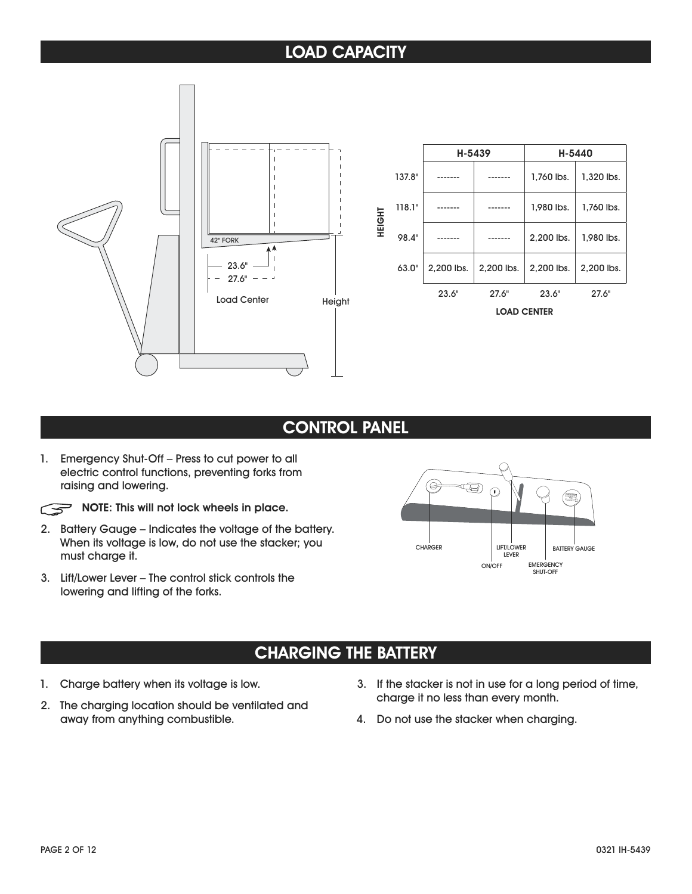## **LOAD CAPACITY**



|        |        | H-5439     |                    | H-5440     |            |
|--------|--------|------------|--------------------|------------|------------|
|        | 137.8" |            |                    | 1,760 lbs. | 1,320 lbs. |
|        | 118.1" |            |                    | 1,980 lbs. | 1,760 lbs. |
| HEIGHT | 98.4"  |            |                    | 2,200 lbs. | 1,980 lbs. |
|        | 63.0"  | 2,200 lbs. | 2.200 lbs.         | 2.200 lbs. | 2,200 lbs. |
|        |        | 23.6"      | 27.6"              | 23.6"      | 27.6"      |
|        |        |            | <b>LOAD CENTER</b> |            |            |

## **CONTROL PANEL**

1. Emergency Shut-Off – Press to cut power to all electric control functions, preventing forks from raising and lowering.

**NOTE:** This will not lock wheels in place.

- 2. Battery Gauge Indicates the voltage of the battery. When its voltage is low, do not use the stacker; you must charge it.
- 3. Lift/Lower Lever The control stick controls the lowering and lifting of the forks.



## **CHARGING THE BATTERY**

- 1. Charge battery when its voltage is low.
- 2. The charging location should be ventilated and away from anything combustible.
- 3. If the stacker is not in use for a long period of time, charge it no less than every month.
- 4. Do not use the stacker when charging.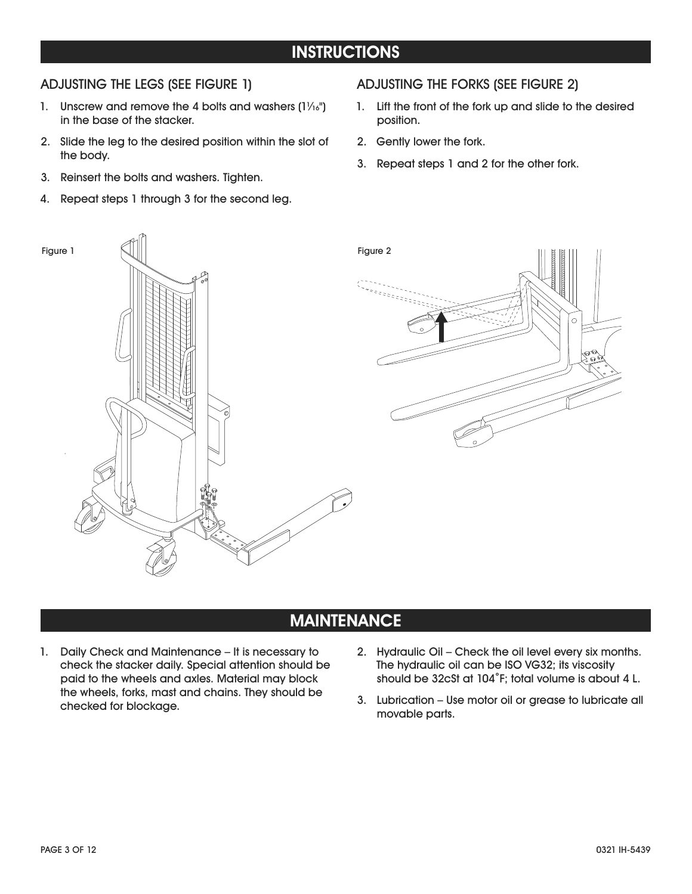## **INSTRUCTIONS**

#### ADJUSTING THE LEGS (SEE FIGURE 1)

- 1. Unscrew and remove the 4 bolts and washers  $(1\frac{1}{16})$ in the base of the stacker.
- 2. Slide the leg to the desired position within the slot of the body.
- 3. Reinsert the bolts and washers. Tighten.
- 4. Repeat steps 1 through 3 for the second leg.

#### ADJUSTING THE FORKS (SEE FIGURE 2)

- 1. Lift the front of the fork up and slide to the desired position.
- 2. Gently lower the fork.
- 3. Repeat steps 1 and 2 for the other fork.



### **MAINTENANCE**

- 1. Daily Check and Maintenance It is necessary to check the stacker daily. Special attention should be paid to the wheels and axles. Material may block the wheels, forks, mast and chains. They should be checked for blockage.
- 2. Hydraulic Oil Check the oil level every six months. The hydraulic oil can be ISO VG32; its viscosity should be 32cSt at 104˚F; total volume is about 4 L.
- 3. Lubrication Use motor oil or grease to lubricate all movable parts.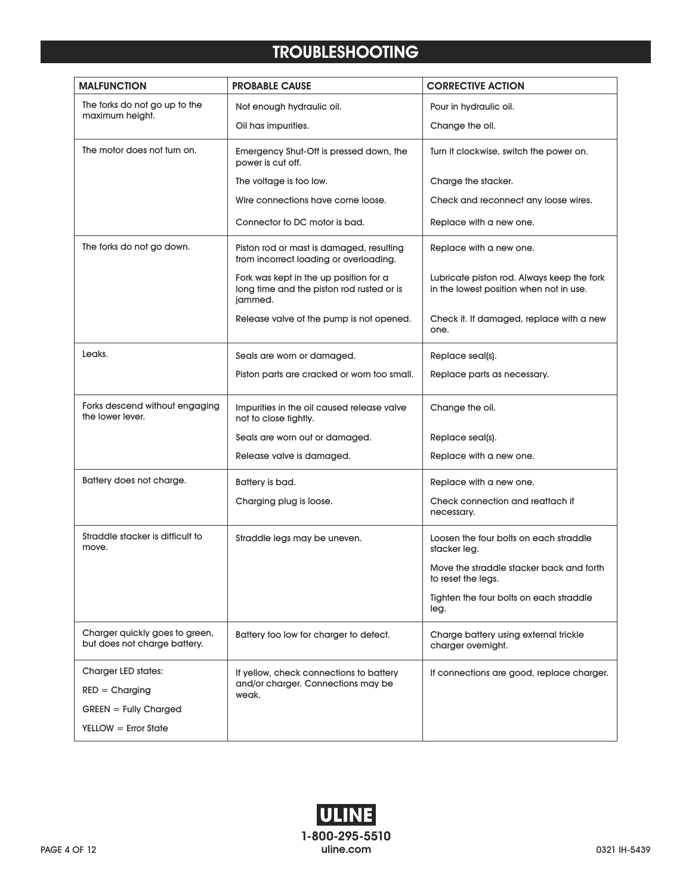## **TROUBLESHOOTING**

| <b>MALFUNCTION</b>                                             | <b>PROBABLE CAUSE</b>                                                                          | <b>CORRECTIVE ACTION</b>                                                              |
|----------------------------------------------------------------|------------------------------------------------------------------------------------------------|---------------------------------------------------------------------------------------|
| The forks do not go up to the                                  | Not enough hydraulic oil.                                                                      | Pour in hydraulic oil.                                                                |
| maximum height.<br>Oil has impurities.                         |                                                                                                | Change the oil.                                                                       |
| The motor does not turn on.                                    | Emergency Shut-Off is pressed down, the<br>power is cut off.                                   | Turn it clockwise, switch the power on.                                               |
|                                                                | The voltage is too low.                                                                        | Charge the stacker.                                                                   |
|                                                                | Wire connections have come loose.                                                              | Check and reconnect any loose wires.                                                  |
|                                                                | Connector to DC motor is bad.                                                                  | Replace with a new one.                                                               |
| The forks do not go down.                                      | Piston rod or mast is damaged, resulting<br>from incorrect loading or overloading.             | Replace with a new one.                                                               |
|                                                                | Fork was kept in the up position for a<br>long time and the piston rod rusted or is<br>jammed. | Lubricate piston rod. Always keep the fork<br>in the lowest position when not in use. |
|                                                                | Release valve of the pump is not opened.                                                       | Check it. If damaged, replace with a new<br>one.                                      |
| Leaks.                                                         | Seals are worn or damaged.                                                                     | Replace seal(s).                                                                      |
|                                                                | Piston parts are cracked or worn too small.                                                    | Replace parts as necessary.                                                           |
| Forks descend without engaging<br>the lower lever.             | Impurities in the oil caused release valve<br>not to close tightly.                            | Change the oil.                                                                       |
|                                                                | Seals are worn out or damaged.                                                                 | Replace seal(s).                                                                      |
|                                                                | Release valve is damaged.                                                                      | Replace with a new one.                                                               |
| Battery does not charge.                                       | Battery is bad.                                                                                | Replace with a new one.                                                               |
|                                                                | Charging plug is loose.                                                                        | Check connection and reattach if<br>necessary.                                        |
| Straddle stacker is difficult to<br>move.                      | Straddle legs may be uneven.                                                                   | Loosen the four bolts on each straddle<br>stacker leg.                                |
|                                                                |                                                                                                | Move the straddle stacker back and forth<br>to reset the legs.                        |
|                                                                |                                                                                                | Tighten the four bolts on each straddle<br>leg.                                       |
| Charger quickly goes to green,<br>but does not charge battery. | Battery too low for charger to detect.                                                         | Charge battery using external trickle<br>charger overnight.                           |
| Charger LED states:                                            | If yellow, check connections to battery                                                        | If connections are good, replace charger.                                             |
| $RED = Charging$                                               | and/or charger. Connections may be<br>weak.                                                    |                                                                                       |
| $G$ REEN = Fully Charged                                       |                                                                                                |                                                                                       |
| $YELLOW = Error State$                                         |                                                                                                |                                                                                       |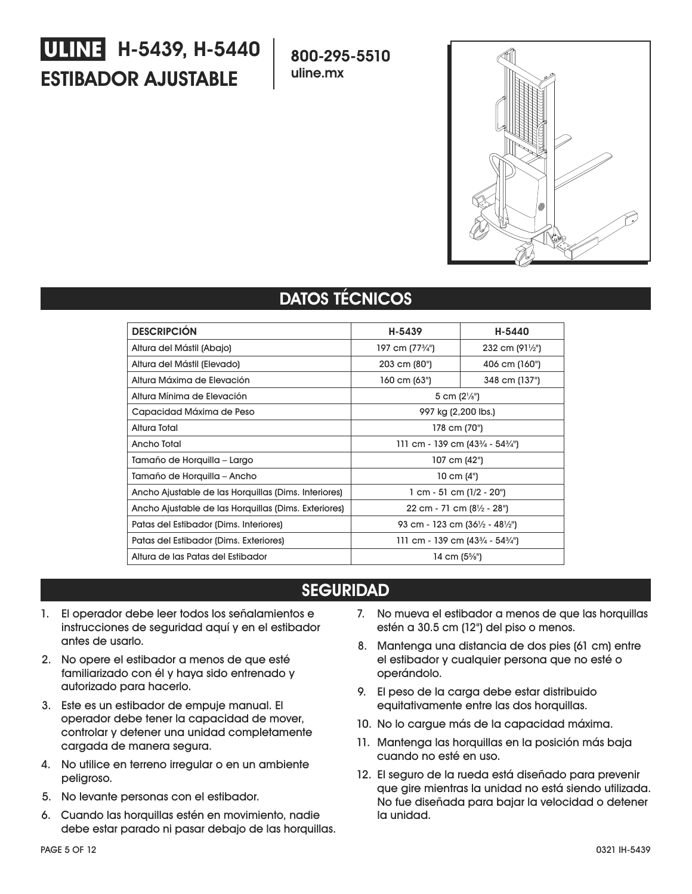# **ESTIBADOR AJUSTABLE WHNE H-5439, H-5440**

**800-295-5510 uline.mx**



## **DATOS TÉCNICOS**

| <b>DESCRIPCIÓN</b>                                   | H-5439                                                  | H-5440                   |
|------------------------------------------------------|---------------------------------------------------------|--------------------------|
| Altura del Mástil (Abajo)                            | 197 cm (77 <sup>3</sup> /4")                            | 232 cm $(91\frac{1}{2})$ |
| Altura del Mástil (Elevado)                          | 203 cm (80")                                            | 406 cm (160")            |
| Altura Máxima de Elevación                           | 160 cm (63")                                            | 348 cm (137")            |
| Altura Mínima de Elevación                           | 5 cm $(2\frac{1}{8})$                                   |                          |
| Capacidad Máxima de Peso                             | 997 kg (2,200 lbs.)                                     |                          |
| Altura Total                                         | 178 cm (70")                                            |                          |
| Ancho Total                                          | 111 cm - 139 cm $(43\frac{3}{4} - 54\frac{3}{4})$       |                          |
| Tamaño de Horquilla – Largo                          | 107 cm (42")                                            |                          |
| Tamaño de Horquilla - Ancho                          | 10 cm $(4")$                                            |                          |
| Ancho Ajustable de las Horquillas (Dims. Interiores) | $1$ cm - 51 cm ( $1/2$ - $20$ ")                        |                          |
| Ancho Ajustable de las Horquillas (Dims. Exteriores) | 22 cm - 71 cm $(8\frac{1}{2} - 28^{\circ})$             |                          |
| Patas del Estibador (Dims. Interiores)               | 93 cm - 123 cm (36½ - 48½")                             |                          |
| Patas del Estibador (Dims. Exteriores)               | 111 cm - 139 cm (43 $\frac{3}{4}$ - 54 $\frac{3}{4}$ ") |                          |
| Altura de las Patas del Estibador                    | 14 cm (5%")                                             |                          |

## **SEGURIDAD**

- 1. El operador debe leer todos los señalamientos e instrucciones de seguridad aquí y en el estibador antes de usarlo.
- 2. No opere el estibador a menos de que esté familiarizado con él y haya sido entrenado y autorizado para hacerlo.
- 3. Este es un estibador de empuje manual. El operador debe tener la capacidad de mover, controlar y detener una unidad completamente cargada de manera segura.
- 4. No utilice en terreno irregular o en un ambiente peligroso.
- 5. No levante personas con el estibador.
- 6. Cuando las horquillas estén en movimiento, nadie debe estar parado ni pasar debajo de las horquillas.
- 7. No mueva el estibador a menos de que las horquillas estén a 30.5 cm (12") del piso o menos.
- 8. Mantenga una distancia de dos pies (61 cm) entre el estibador y cualquier persona que no esté o operándolo.
- 9. El peso de la carga debe estar distribuido equitativamente entre las dos horquillas.
- 10. No lo cargue más de la capacidad máxima.
- 11. Mantenga las horquillas en la posición más baja cuando no esté en uso.
- 12. El seguro de la rueda está diseñado para prevenir que gire mientras la unidad no está siendo utilizada. No fue diseñada para bajar la velocidad o detener la unidad.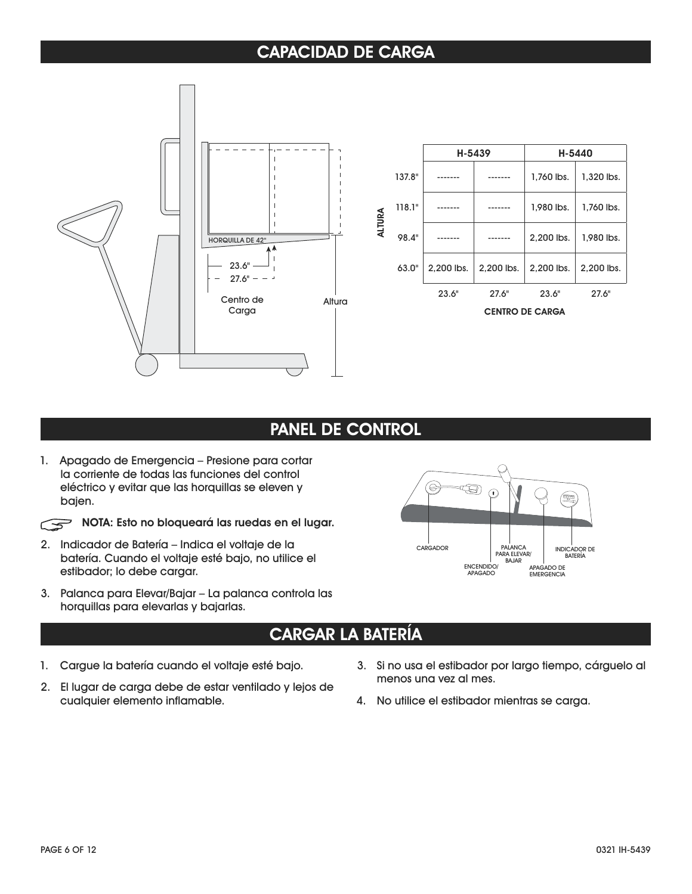## **CAPACIDAD DE CARGA**



|        |        | H-5439     |            | H-5440                 |            |
|--------|--------|------------|------------|------------------------|------------|
|        | 137.8" |            |            | 1.760 lbs.             | 1,320 lbs. |
|        | 118.1" |            |            | 1,980 lbs.             | 1,760 lbs. |
| ALTURA | 98.4"  |            |            | 2.200 lbs.             | 1,980 lbs. |
|        | 63.0"  | 2.200 lbs. | 2.200 lbs. | 2.200 lbs.             | 2.200 lbs. |
|        |        | 23.6"      | 27.6"      | 23.6"                  | 27.6"      |
|        |        |            |            | <b>CENTRO DE CARGA</b> |            |

### **PANEL DE CONTROL**

1. Apagado de Emergencia – Presione para cortar la corriente de todas las funciones del control eléctrico y evitar que las horquillas se eleven y bajen.

**NOTA: Esto no bloqueará las ruedas en el lugar.** 

- 2. Indicador de Batería Indica el voltaje de la batería. Cuando el voltaje esté bajo, no utilice el estibador; lo debe cargar.
- 3. Palanca para Elevar/Bajar La palanca controla las horquillas para elevarlas y bajarlas.



## **CARGAR LA BATERÍA**

- 1. Cargue la batería cuando el voltaje esté bajo.
- 2. El lugar de carga debe de estar ventilado y lejos de cualquier elemento inflamable.
- 3. Si no usa el estibador por largo tiempo, cárguelo al menos una vez al mes.
- 4. No utilice el estibador mientras se carga.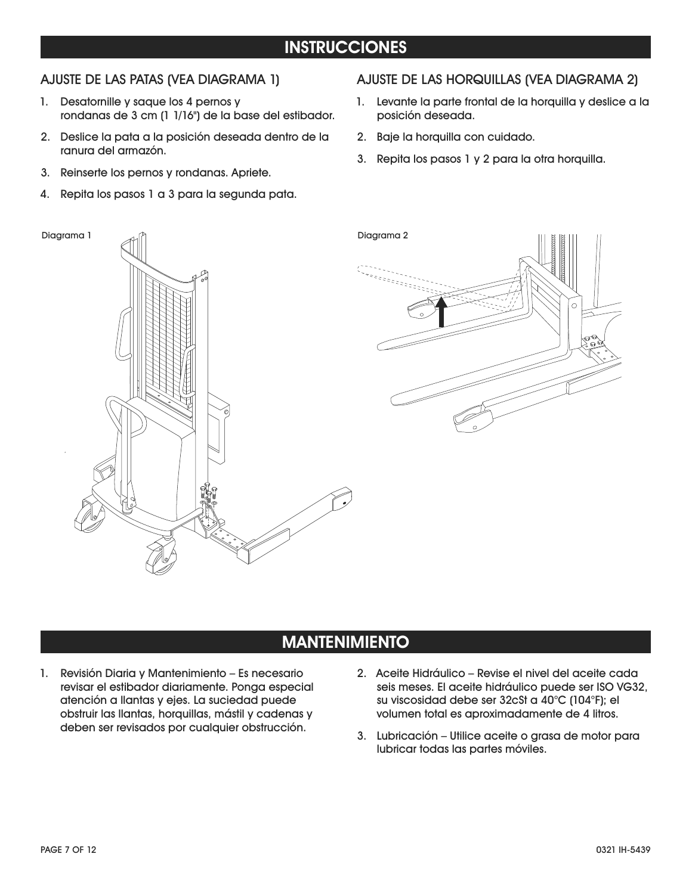## **INSTRUCCIONES**

#### AJUSTE DE LAS PATAS (VEA DIAGRAMA 1)

- 1. Desatornille y saque los 4 pernos y rondanas de 3 cm (1 1/16") de la base del estibador.
- 2. Deslice la pata a la posición deseada dentro de la ranura del armazón.
- 3. Reinserte los pernos y rondanas. Apriete.
- 4. Repita los pasos 1 a 3 para la segunda pata.

#### AJUSTE DE LAS HORQUILLAS (VEA DIAGRAMA 2)

- 1. Levante la parte frontal de la horquilla y deslice a la posición deseada.
- 2. Baje la horquilla con cuidado.
- 3. Repita los pasos 1 y 2 para la otra horquilla.



## **MANTENIMIENTO**

- 1. Revisión Diaria y Mantenimiento Es necesario revisar el estibador diariamente. Ponga especial atención a llantas y ejes. La suciedad puede obstruir las llantas, horquillas, mástil y cadenas y deben ser revisados por cualquier obstrucción.
- 2. Aceite Hidráulico Revise el nivel del aceite cada seis meses. El aceite hidráulico puede ser ISO VG32, su viscosidad debe ser 32cSt a 40°C (104°F); el volumen total es aproximadamente de 4 litros.
- 3. Lubricación Utilice aceite o grasa de motor para lubricar todas las partes móviles.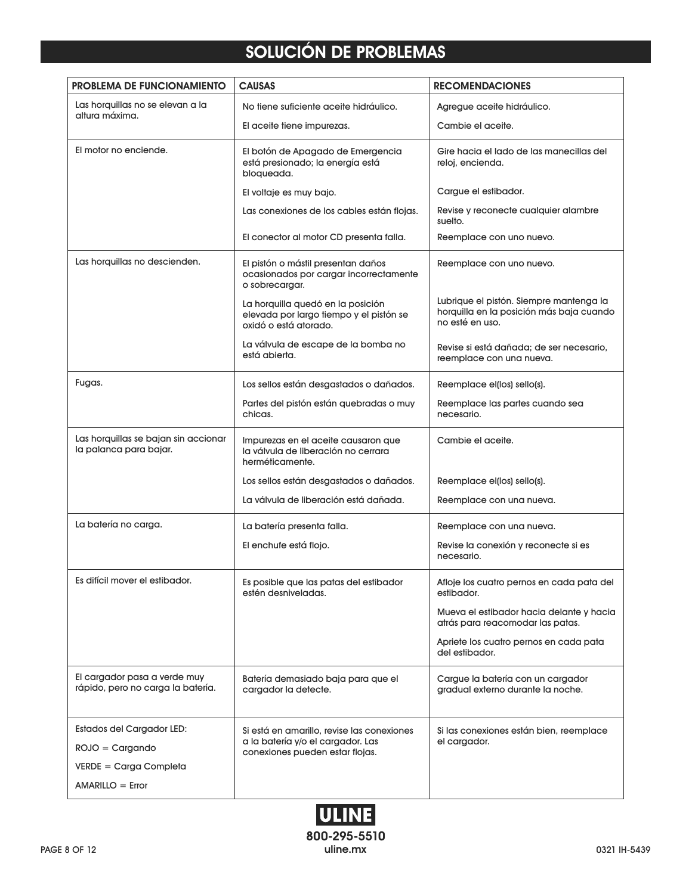## **SOLUCIÓN DE PROBLEMAS**

| <b>PROBLEMA DE FUNCIONAMIENTO</b>                                 | <b>CAUSAS</b>                                                                                         | <b>RECOMENDACIONES</b>                                                                                 |
|-------------------------------------------------------------------|-------------------------------------------------------------------------------------------------------|--------------------------------------------------------------------------------------------------------|
| Las horquillas no se elevan a la<br>altura máxima.                | No tiene suficiente aceite hidráulico.                                                                | Agregue aceite hidráulico.                                                                             |
|                                                                   | El aceite tiene impurezas.                                                                            | Cambie el aceite.                                                                                      |
| El motor no enciende.                                             | El botón de Apagado de Emergencia<br>está presionado; la energía está<br>bloqueada.                   | Gire hacia el lado de las manecillas del<br>reloj, encienda.                                           |
|                                                                   | El voltaje es muy bajo.                                                                               | Cargue el estibador.                                                                                   |
|                                                                   | Las conexiones de los cables están flojas.                                                            | Revise y reconecte cualquier alambre<br>suelto.                                                        |
|                                                                   | El conector al motor CD presenta falla.                                                               | Reemplace con uno nuevo.                                                                               |
| Las horquillas no descienden.                                     | El pistón o mástil presentan daños<br>ocasionados por cargar incorrectamente<br>o sobrecargar.        | Reemplace con uno nuevo.                                                                               |
|                                                                   | La horquilla quedó en la posición<br>elevada por largo tiempo y el pistón se<br>oxidó o está atorado. | Lubrique el pistón. Siempre mantenga la<br>horquilla en la posición más baja cuando<br>no esté en uso. |
|                                                                   | La válvula de escape de la bomba no<br>está abierta.                                                  | Revise si está dañada; de ser necesario,<br>reemplace con una nueva.                                   |
| Fugas.                                                            | Los sellos están desgastados o dañados.                                                               | Reemplace el(los) sello(s).                                                                            |
|                                                                   | Partes del pistón están quebradas o muy<br>chicas.                                                    | Reemplace las partes cuando sea<br>necesario.                                                          |
| Las horquillas se bajan sin accionar<br>la palanca para bajar.    | Impurezas en el aceite causaron que<br>la válvula de liberación no cerrara<br>herméticamente.         | Cambie el aceite.                                                                                      |
|                                                                   | Los sellos están desgastados o dañados.                                                               | Reemplace el(los) sello(s).                                                                            |
|                                                                   | La válvula de liberación está dañada.                                                                 | Reemplace con una nueva.                                                                               |
| La batería no carga.                                              | La batería presenta falla.                                                                            | Reemplace con una nueva.                                                                               |
|                                                                   | El enchufe está flojo.                                                                                | Revise la conexión y reconecte si es<br>necesario.                                                     |
| Es difícil mover el estibador.                                    | Es posible que las patas del estibador<br>estén desniveladas.                                         | Afloje los cuatro pernos en cada pata del<br>estibador.                                                |
|                                                                   |                                                                                                       | Mueva el estibador hacia delante y hacia<br>atrás para reacomodar las patas.                           |
|                                                                   |                                                                                                       | Apriete los cuatro pernos en cada pata<br>del estibador.                                               |
| El cargador pasa a verde muy<br>rápido, pero no carga la batería. | Batería demasiado baja para que el<br>cargador la detecte.                                            | Cargue la batería con un cargador<br>gradual externo durante la noche.                                 |
| Estados del Cargador LED:                                         | Si está en amarillo, revise las conexiones                                                            | Si las conexiones están bien, reemplace                                                                |
| $ROJO = Cargando$                                                 | a la batería y/o el cargador. Las<br>conexiones pueden estar flojas.                                  | el cargador.                                                                                           |
| $VERDE = Carga$ Completa                                          |                                                                                                       |                                                                                                        |
| $AMARILLO = Error$                                                |                                                                                                       |                                                                                                        |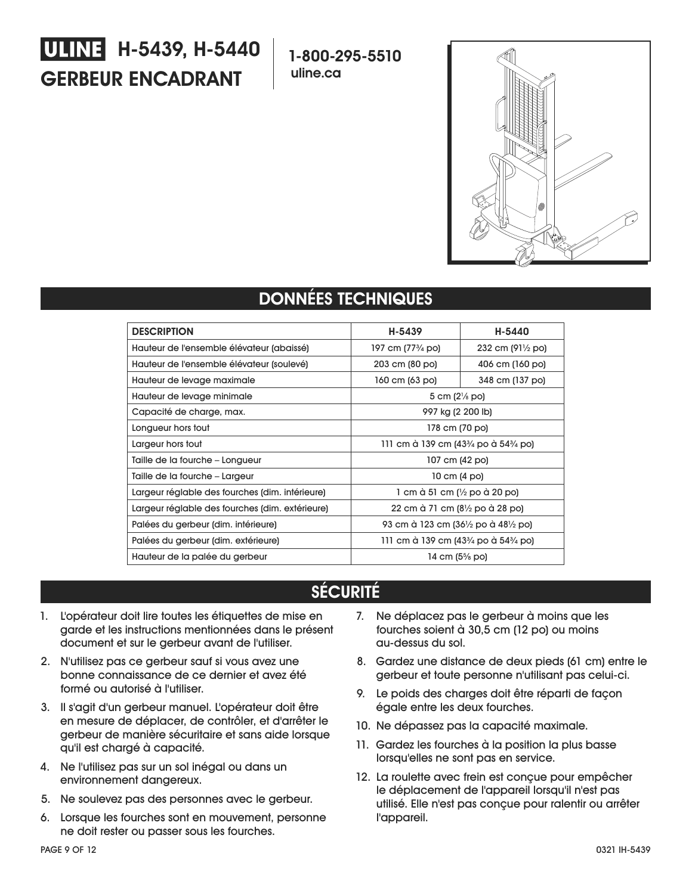# **GERBEUR ENCADRANT H-5439, H-5440**

**1-800-295-5510 uline.ca**



## **DONNÉES TECHNIQUES**

| <b>DESCRIPTION</b>                              | H-5439                            | H-5440                      |
|-------------------------------------------------|-----------------------------------|-----------------------------|
| Hauteur de l'ensemble élévateur (abaissé)       | 197 cm (77¼ po)                   | 232 cm $(91\frac{1}{2}$ po) |
| Hauteur de l'ensemble élévateur (soulevé)       | 203 cm (80 po)                    | 406 cm (160 po)             |
| Hauteur de levage maximale                      | 160 cm (63 po)<br>348 cm (137 po) |                             |
| Hauteur de levage minimale                      | 5 cm $(2\frac{1}{8}$ po)          |                             |
| Capacité de charge, max.                        | 997 kg (2 200 lb)                 |                             |
| Longueur hors tout                              | 178 cm (70 po)                    |                             |
| Largeur hors tout                               | 111 cm à 139 cm (43¼ po à 54¼ po) |                             |
| Taille de la fourche – Longueur                 | 107 cm (42 po)                    |                             |
| Taille de la fourche - Largeur                  | 10 cm (4 po)                      |                             |
| Largeur réglable des fourches (dim. intérieure) | 1 cm à 51 cm (½ po à 20 po)       |                             |
| Largeur réglable des fourches (dim. extérieure) | 22 cm à 71 cm (8½ po à 28 po)     |                             |
| Palées du gerbeur (dim. intérieure)             | 93 cm à 123 cm (36½ po à 48½ po)  |                             |
| Palées du gerbeur (dim. extérieure)             | 111 cm à 139 cm (43¼ po à 54¼ po) |                             |
| Hauteur de la palée du gerbeur                  | 14 cm (5% po)                     |                             |

## **SÉCURITÉ**

- 1. L'opérateur doit lire toutes les étiquettes de mise en garde et les instructions mentionnées dans le présent document et sur le gerbeur avant de l'utiliser.
- 2. N'utilisez pas ce gerbeur sauf si vous avez une bonne connaissance de ce dernier et avez été formé ou autorisé à l'utiliser.
- 3. Il s'agit d'un gerbeur manuel. L'opérateur doit être en mesure de déplacer, de contrôler, et d'arrêter le gerbeur de manière sécuritaire et sans aide lorsque qu'il est chargé à capacité.
- 4. Ne l'utilisez pas sur un sol inégal ou dans un environnement dangereux.
- 5. Ne soulevez pas des personnes avec le gerbeur.
- 6. Lorsque les fourches sont en mouvement, personne ne doit rester ou passer sous les fourches.
- 7. Ne déplacez pas le gerbeur à moins que les fourches soient à 30,5 cm (12 po) ou moins au-dessus du sol.
- 8. Gardez une distance de deux pieds (61 cm) entre le gerbeur et toute personne n'utilisant pas celui-ci.
- 9. Le poids des charges doit être réparti de façon égale entre les deux fourches.
- 10. Ne dépassez pas la capacité maximale.
- 11. Gardez les fourches à la position la plus basse lorsqu'elles ne sont pas en service.
- 12. La roulette avec frein est conçue pour empêcher le déplacement de l'appareil lorsqu'il n'est pas utilisé. Elle n'est pas conçue pour ralentir ou arrêter l'appareil.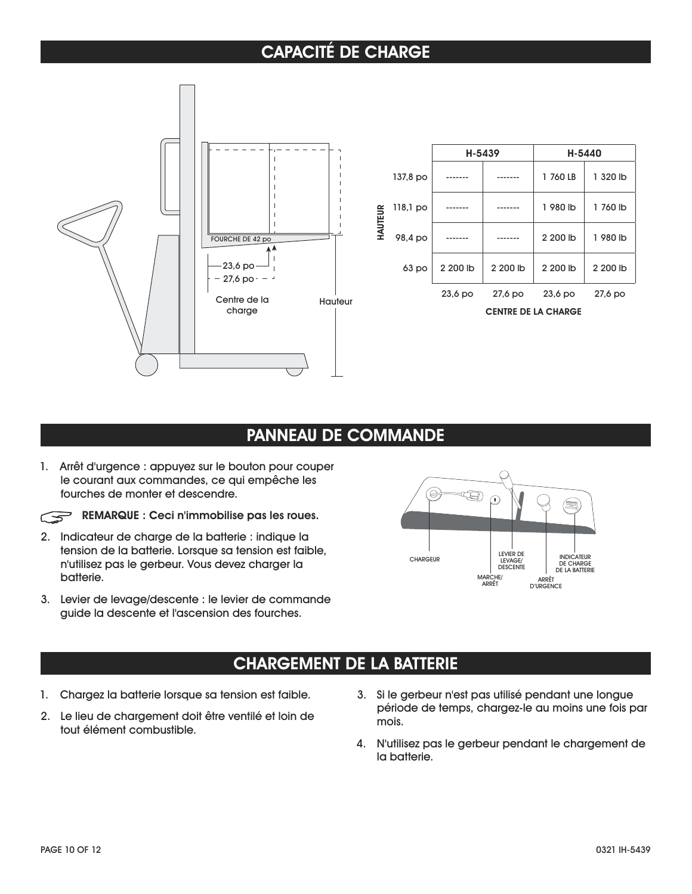## **CAPACITÉ DE CHARGE**



|         |                            | H-5439    |          | H-5440    |          |
|---------|----------------------------|-----------|----------|-----------|----------|
|         | 137,8 po                   |           |          | 1 760 LB  | 1 320 lb |
|         | $118,1$ po                 |           |          | 1 980 lb  | 1 760 lb |
| HAUTEUR | 98,4 po                    |           |          | 2 200 lb  | 1 980 lb |
|         | 63 po                      | 2 200 lb  | 2 200 lb | 2 200 lb  | 2 200 lb |
|         |                            | $23,6$ po | 27,6 po  | $23,6$ po | 27,6 po  |
|         | <b>CENTRE DE LA CHARGE</b> |           |          |           |          |

### **PANNEAU DE COMMANDE**

1. Arrêt d'urgence : appuyez sur le bouton pour couper le courant aux commandes, ce qui empêche les fourches de monter et descendre.



**REMARQUE : Ceci n'immobilise pas les roues.**

- 2. Indicateur de charge de la batterie : indique la tension de la batterie. Lorsque sa tension est faible, n'utilisez pas le gerbeur. Vous devez charger la batterie.
- 3. Levier de levage/descente : le levier de commande guide la descente et l'ascension des fourches.



### **CHARGEMENT DE LA BATTERIE**

- 1. Chargez la batterie lorsque sa tension est faible.
- 2. Le lieu de chargement doit être ventilé et loin de tout élément combustible.
- 3. Si le gerbeur n'est pas utilisé pendant une longue période de temps, chargez-le au moins une fois par mois.
- 4. N'utilisez pas le gerbeur pendant le chargement de la batterie.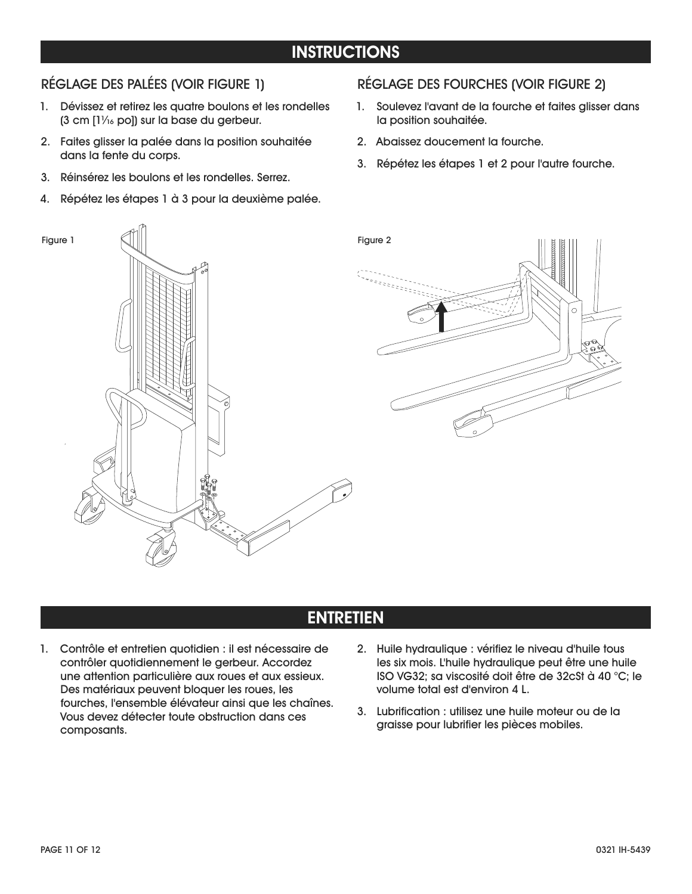## **INSTRUCTIONS**

#### RÉGLAGE DES PALÉES (VOIR FIGURE 1)

- 1. Dévissez et retirez les quatre boulons et les rondelles  $(3 \text{ cm } [1]$ /16 po]) sur la base du gerbeur.
- 2. Faites glisser la palée dans la position souhaitée dans la fente du corps.
- 3. Réinsérez les boulons et les rondelles. Serrez.
- 4. Répétez les étapes 1 à 3 pour la deuxième palée.

#### RÉGLAGE DES FOURCHES (VOIR FIGURE 2)

- 1. Soulevez l'avant de la fourche et faites glisser dans la position souhaitée.
- 2. Abaissez doucement la fourche.
- 3. Répétez les étapes 1 et 2 pour l'autre fourche.



## **ENTRETIEN**

- 1. Contrôle et entretien quotidien : il est nécessaire de contrôler quotidiennement le gerbeur. Accordez une attention particulière aux roues et aux essieux. Des matériaux peuvent bloquer les roues, les fourches, l'ensemble élévateur ainsi que les chaînes. Vous devez détecter toute obstruction dans ces composants.
- 2. Huile hydraulique : vérifiez le niveau d'huile tous les six mois. L'huile hydraulique peut être une huile ISO VG32; sa viscosité doit être de 32cSt à 40 °C; le volume total est d'environ 4 L.
- 3. Lubrification : utilisez une huile moteur ou de la graisse pour lubrifier les pièces mobiles.